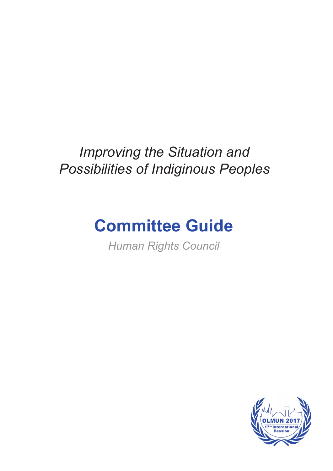# *Improving the Situation and Possibilities of Indiginous Peoples*

# **Committee Guide**

*Human Rights Council*

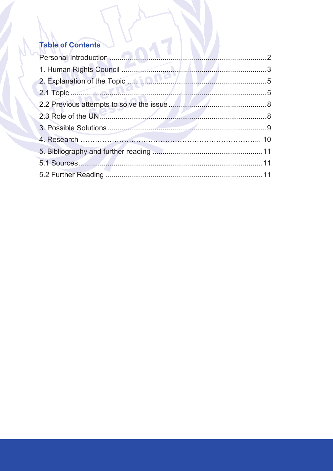# **Table of Contents**

| 2.1 Topic 5 |  |
|-------------|--|
|             |  |
|             |  |
|             |  |
|             |  |
|             |  |
|             |  |
|             |  |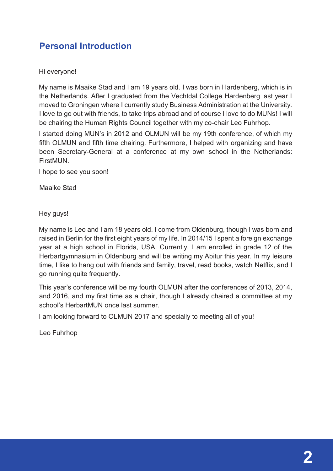## **Personal Introduction**

#### Hi everyone!

My name is Maaike Stad and I am 19 years old. I was born in Hardenberg, which is in the Netherlands. After I graduated from the Vechtdal College Hardenberg last year I moved to Groningen where I currently study Business Administration at the University. I love to go out with friends, to take trips abroad and of course I love to do MUNs! I will be chairing the Human Rights Council together with my co-chair Leo Fuhrhop.

I started doing MUN's in 2012 and OLMUN will be my 19th conference, of which my fifth OLMUN and fifth time chairing. Furthermore, I helped with organizing and have been Secretary-General at a conference at my own school in the Netherlands: FirstMUN.

I hope to see you soon!

Maaike Stad

Hey guys!

My name is Leo and I am 18 years old. I come from Oldenburg, though I was born and raised in Berlin for the first eight years of my life. In 2014/15 I spent a foreign exchange year at a high school in Florida, USA. Currently, I am enrolled in grade 12 of the Herbartgymnasium in Oldenburg and will be writing my Abitur this year. In my leisure time, I like to hang out with friends and family, travel, read books, watch Netflix, and I go running quite frequently.

This year's conference will be my fourth OLMUN after the conferences of 2013, 2014, and 2016, and my first time as a chair, though I already chaired a committee at my school's HerbartMUN once last summer.

I am looking forward to OLMUN 2017 and specially to meeting all of you!

Leo Fuhrhop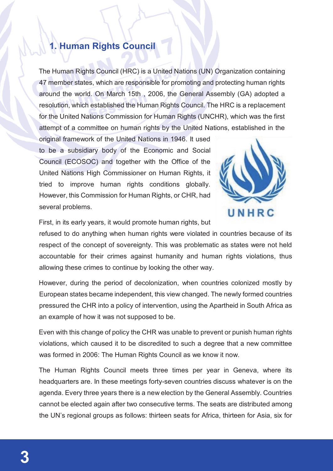# **1. Human Rights Council**

The Human Rights Council (HRC) is a United Nations (UN) Organization containing 47 member states, which are responsible for promoting and protecting human rights around the world. On March 15th , 2006, the General Assembly (GA) adopted a resolution, which established the Human Rights Council. The HRC is a replacement for the United Nations Commission for Human Rights (UNCHR), which was the first attempt of a committee on human rights by the United Nations, established in the

original framework of the United Nations in 1946. It used to be a subsidiary body of the Economic and Social Council (ECOSOC) and together with the Office of the United Nations High Commissioner on Human Rights, it tried to improve human rights conditions globally. However, this Commission for Human Rights, or CHR, had several problems.



First, in its early years, it would promote human rights, but

refused to do anything when human rights were violated in countries because of its respect of the concept of sovereignty. This was problematic as states were not held accountable for their crimes against humanity and human rights violations, thus allowing these crimes to continue by looking the other way.

However, during the period of decolonization, when countries colonized mostly by European states became independent, this view changed. The newly formed countries pressured the CHR into a policy of intervention, using the Apartheid in South Africa as an example of how it was not supposed to be.

Even with this change of policy the CHR was unable to prevent or punish human rights violations, which caused it to be discredited to such a degree that a new committee was formed in 2006: The Human Rights Council as we know it now.

The Human Rights Council meets three times per year in Geneva, where its headquarters are. In these meetings forty-seven countries discuss whatever is on the agenda. Every three years there is a new election by the General Assembly. Countries cannot be elected again after two consecutive terms. The seats are distributed among the UN's regional groups as follows: thirteen seats for Africa, thirteen for Asia, six for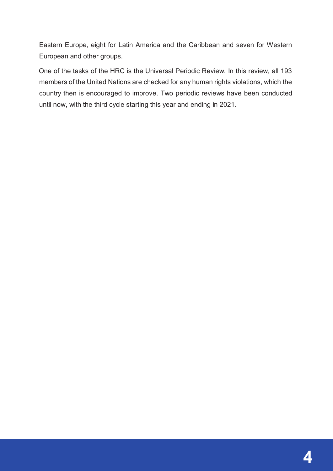Eastern Europe, eight for Latin America and the Caribbean and seven for Western European and other groups.

One of the tasks of the HRC is the Universal Periodic Review. In this review, all 193 members of the United Nations are checked for any human rights violations, which the country then is encouraged to improve. Two periodic reviews have been conducted until now, with the third cycle starting this year and ending in 2021.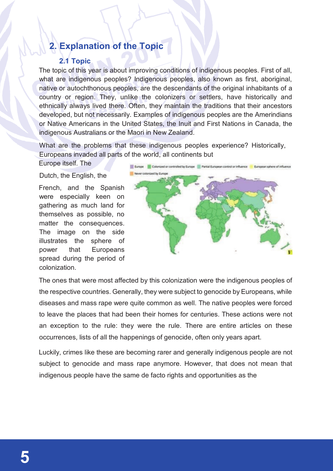# **2. Explanation of the Topic**

#### **2.1 Topic**

The topic of this year is about improving conditions of indigenous peoples. First of all, what are indigenous peoples? Indigenous peoples, also known as first, aboriginal, native or autochthonous peoples, are the descendants of the original inhabitants of a country or region. They, unlike the colonizers or settlers, have historically and ethnically always lived there. Often, they maintain the traditions that their ancestors developed, but not necessarily. Examples of indigenous peoples are the Amerindians or Native Americans in the United States, the Inuit and First Nations in Canada, the indigenous Australians or the Maori in New Zealand.

What are the problems that these indigenous peoples experience? Historically, Europeans invaded all parts of the world, all continents but

Europe itself. The

Dutch, the English, the

French, and the Spanish were especially keen on gathering as much land for themselves as possible, no matter the consequences. The image on the side illustrates the sphere of power that Europeans spread during the period of colonization.



The ones that were most affected by this colonization were the indigenous peoples of the respective countries. Generally, they were subject to genocide by Europeans, while diseases and mass rape were quite common as well. The native peoples were forced to leave the places that had been their homes for centuries. These actions were not an exception to the rule: they were the rule. There are entire articles on these occurrences, lists of all the happenings of genocide, often only years apart.

Luckily, crimes like these are becoming rarer and generally indigenous people are not subject to genocide and mass rape anymore. However, that does not mean that indigenous people have the same de facto rights and opportunities as the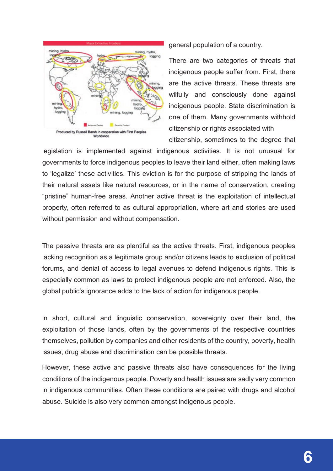

general population of a country.

There are two categories of threats that indigenous people suffer from. First, there are the active threats. These threats are wilfully and consciously done against indigenous people. State discrimination is one of them. Many governments withhold citizenship or rights associated with citizenship, sometimes to the degree that

legislation is implemented against indigenous activities. It is not unusual for governments to force indigenous peoples to leave their land either, often making laws to 'legalize' these activities. This eviction is for the purpose of stripping the lands of their natural assets like natural resources, or in the name of conservation, creating "pristine" human-free areas. Another active threat is the exploitation of intellectual property, often referred to as cultural appropriation, where art and stories are used without permission and without compensation.

The passive threats are as plentiful as the active threats. First, indigenous peoples lacking recognition as a legitimate group and/or citizens leads to exclusion of political forums, and denial of access to legal avenues to defend indigenous rights. This is especially common as laws to protect indigenous people are not enforced. Also, the global public's ignorance adds to the lack of action for indigenous people.

In short, cultural and linguistic conservation, sovereignty over their land, the exploitation of those lands, often by the governments of the respective countries themselves, pollution by companies and other residents of the country, poverty, health issues, drug abuse and discrimination can be possible threats.

However, these active and passive threats also have consequences for the living conditions of the indigenous people. Poverty and health issues are sadly very common in indigenous communities. Often these conditions are paired with drugs and alcohol abuse. Suicide is also very common amongst indigenous people.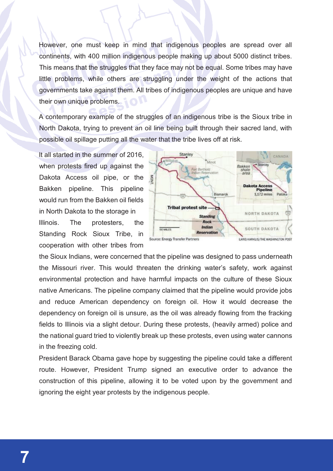However, one must keep in mind that indigenous peoples are spread over all continents, with 400 million indigenous people making up about 5000 distinct tribes. This means that the struggles that they face may not be equal. Some tribes may have little problems, while others are struggling under the weight of the actions that governments take against them. All tribes of indigenous peoples are unique and have their own unique problems.

A contemporary example of the struggles of an indigenous tribe is the Sioux tribe in North Dakota, trying to prevent an oil line being built through their sacred land, with possible oil spillage putting all the water that the tribe lives off at risk.

It all started in the summer of 2016, when protests fired up against the Dakota Access oil pipe, or the Bakken pipeline. This pipeline would run from the Bakken oil fields in North Dakota to the storage in Illinois. The protesters, the Standing Rock Sioux Tribe, in cooperation with other tribes from



the Sioux Indians, were concerned that the pipeline was designed to pass underneath the Missouri river. This would threaten the drinking water's safety, work against environmental protection and have harmful impacts on the culture of these Sioux native Americans. The pipeline company claimed that the pipeline would provide jobs and reduce American dependency on foreign oil. How it would decrease the dependency on foreign oil is unsure, as the oil was already flowing from the fracking fields to Illinois via a slight detour. During these protests, (heavily armed) police and the national guard tried to violently break up these protests, even using water cannons in the freezing cold.

President Barack Obama gave hope by suggesting the pipeline could take a different route. However, President Trump signed an executive order to advance the construction of this pipeline, allowing it to be voted upon by the government and ignoring the eight year protests by the indigenous people.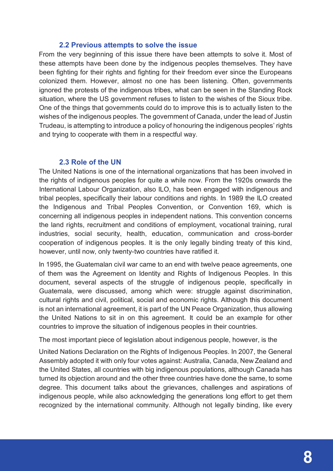#### **2.2 Previous attempts to solve the issue**

From the very beginning of this issue there have been attempts to solve it. Most of these attempts have been done by the indigenous peoples themselves. They have been fighting for their rights and fighting for their freedom ever since the Europeans colonized them. However, almost no one has been listening. Often, governments ignored the protests of the indigenous tribes, what can be seen in the Standing Rock situation, where the US government refuses to listen to the wishes of the Sioux tribe. One of the things that governments could do to improve this is to actually listen to the wishes of the indigenous peoples. The government of Canada, under the lead of Justin Trudeau, is attempting to introduce a policy of honouring the indigenous peoples' rights and trying to cooperate with them in a respectful way.

#### **2.3 Role of the UN**

The United Nations is one of the international organizations that has been involved in the rights of indigenous peoples for quite a while now. From the 1920s onwards the International Labour Organization, also ILO, has been engaged with indigenous and tribal peoples, specifically their labour conditions and rights. In 1989 the ILO created the Indigenous and Tribal Peoples Convention, or Convention 169, which is concerning all indigenous peoples in independent nations. This convention concerns the land rights, recruitment and conditions of employment, vocational training, rural industries, social security, health, education, communication and cross-border cooperation of indigenous peoples. It is the only legally binding treaty of this kind, however, until now, only twenty-two countries have ratified it.

In 1995, the Guatemalan civil war came to an end with twelve peace agreements, one of them was the Agreement on Identity and Rights of Indigenous Peoples. In this document, several aspects of the struggle of indigenous people, specifically in Guatemala, were discussed, among which were: struggle against discrimination, cultural rights and civil, political, social and economic rights. Although this document is not an international agreement, it is part of the UN Peace Organization, thus allowing the United Nations to sit in on this agreement. It could be an example for other countries to improve the situation of indigenous peoples in their countries.

The most important piece of legislation about indigenous people, however, is the

United Nations Declaration on the Rights of Indigenous Peoples. In 2007, the General Assembly adopted it with only four votes against: Australia, Canada, New Zealand and the United States, all countries with big indigenous populations, although Canada has turned its objection around and the other three countries have done the same, to some degree. This document talks about the grievances, challenges and aspirations of indigenous people, while also acknowledging the generations long effort to get them recognized by the international community. Although not legally binding, like every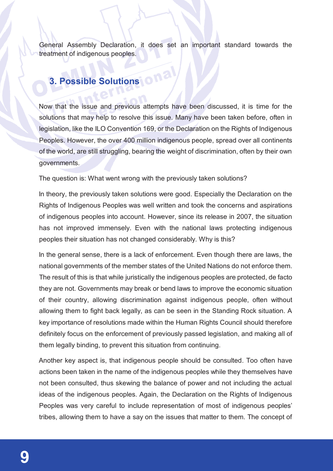General Assembly Declaration, it does set an important standard towards the treatment of indigenous peoples.

# **3. Possible Solutions on a**

Now that the issue and previous attempts have been discussed, it is time for the solutions that may help to resolve this issue. Many have been taken before, often in legislation, like the ILO Convention 169, or the Declaration on the Rights of Indigenous Peoples. However, the over 400 million indigenous people, spread over all continents of the world, are still struggling, bearing the weight of discrimination, often by their own governments.

The question is: What went wrong with the previously taken solutions?

In theory, the previously taken solutions were good. Especially the Declaration on the Rights of Indigenous Peoples was well written and took the concerns and aspirations of indigenous peoples into account. However, since its release in 2007, the situation has not improved immensely. Even with the national laws protecting indigenous peoples their situation has not changed considerably. Why is this?

In the general sense, there is a lack of enforcement. Even though there are laws, the national governments of the member states of the United Nations do not enforce them. The result of this is that while juristically the indigenous peoples are protected, de facto they are not. Governments may break or bend laws to improve the economic situation of their country, allowing discrimination against indigenous people, often without allowing them to fight back legally, as can be seen in the Standing Rock situation. A key importance of resolutions made within the Human Rights Council should therefore definitely focus on the enforcement of previously passed legislation, and making all of them legally binding, to prevent this situation from continuing.

Another key aspect is, that indigenous people should be consulted. Too often have actions been taken in the name of the indigenous peoples while they themselves have not been consulted, thus skewing the balance of power and not including the actual ideas of the indigenous peoples. Again, the Declaration on the Rights of Indigenous Peoples was very careful to include representation of most of indigenous peoples' tribes, allowing them to have a say on the issues that matter to them. The concept of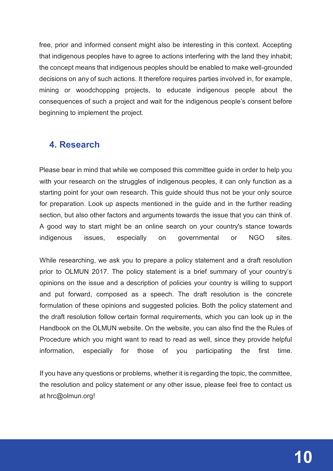free, prior and informed consent might also be interesting in this context. Accepting that indigenous peoples have to agree to actions interfering with the land they inhabit; the concept means that indigenous peoples should be enabled to make well-grounded decisions on any of such actions. It therefore requires parties involved in, for example, mining or woodchopping projects, to educate indigenous people about the consequences of such a project and wait for the indigenous people's consent before beginning to implement the project.

### **4. Research**

Please bear in mind that while we composed this committee guide in order to help you with your research on the struggles of indigenous peoples, it can only function as a starting point for your own research. This guide should thus not be your only source for preparation. Look up aspects mentioned in the guide and in the further reading section, but also other factors and arguments towards the issue that you can think of. A good way to start might be an online search on your country's stance towards indigenous issues, especially on governmental or NGO sites.

While researching, we ask you to prepare a policy statement and a draft resolution prior to OLMUN 2017. The policy statement is a brief summary of your country's opinions on the issue and a description of policies your country is willing to support and put forward, composed as a speech. The draft resolution is the concrete formulation of these opinions and suggested policies. Both the policy statement and the draft resolution follow certain formal requirements, which you can look up in the Handbook on the OLMUN website. On the website, you can also find the the Rules of Procedure which you might want to read to read as well, since they provide helpful information, especially for those of you participating the first time.

If you have any questions or problems, whether it is regarding the topic, the committee, the resolution and policy statement or any other issue, please feel free to contact us at hrc@olmun.org!